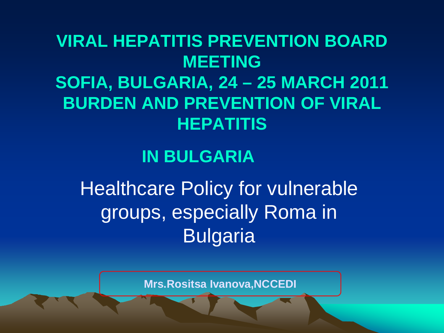## **VIRAL HEPATITIS PREVENTION BOARD MEETING**

## **SOFIA, BULGARIA, 24 – 25 MARCH 2011 BURDEN AND PREVENTION OF VIRAL HEPATITIS**

### **IN BULGARIA**

Healthcare Policy for vulnerable groups, especially Roma in Bulgaria

**Mrs.Rositsa Ivanova,NCCEDI**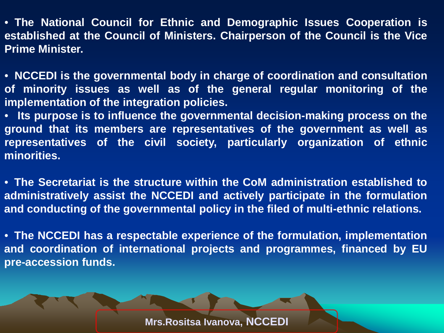• **The National Council for Ethnic and Demographic Issues Cooperation is established at the Council of Ministers. Chairperson of the Council is the Vice Prime Minister.**

• **NCCEDI is the governmental body in charge of coordination and consultation of minority issues as well as of the general regular monitoring of the implementation of the integration policies.**

• **Its purpose is to influence the governmental decision-making process on the ground that its members are representatives of the government as well as representatives of the civil society, particularly organization of ethnic minorities.**

• **The Secretariat is the structure within the CoM administration established to administratively assist the NCCEDI and actively participate in the formulation and conducting of the governmental policy in the filed of multi-ethnic relations.**

• **The NCCEDI has a respectable experience of the formulation, implementation and coordination of international projects and programmes, financed by EU pre-accession funds.**

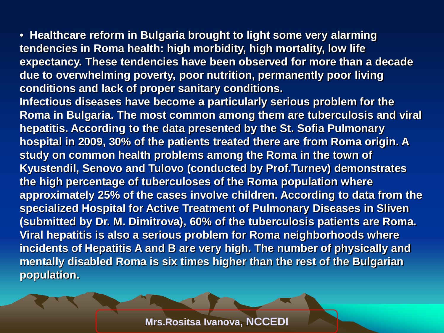• **Healthcare reform in Bulgaria brought to light some very alarming tendencies in Roma health: high morbidity, high mortality, low life expectancy. These tendencies have been observed for more than a decade due to overwhelming poverty, poor nutrition, permanently poor living conditions and lack of proper sanitary conditions.**

**Infectious diseases have become a particularly serious problem for the Roma in Bulgaria. The most common among them are tuberculosis and viral hepatitis. According to the data presented by the St. Sofia Pulmonary hospital in 2009, 30% of the patients treated there are from Roma origin. A study on common health problems among the Roma in the town of Kyustendil, Senovo and Tulovo (conducted by Prof.Turnev) demonstrates the high percentage of tuberculoses of the Roma population where approximately 25% of the cases involve children. According to data from the specialized Hospital for Active Treatment of Pulmonary Diseases in Sliven (submitted by Dr. M. Dimitrova), 60% of the tuberculosis patients are Roma. Viral hepatitis is also a serious problem for Roma neighborhoods where incidents of Hepatitis A and B are very high. The number of physically and mentally disabled Roma is six times higher than the rest of the Bulgarian population.**

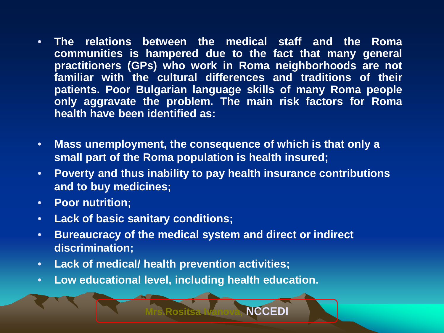- **The relations between the medical staff and the Roma communities is hampered due to the fact that many general practitioners (GPs) who work in Roma neighborhoods are not familiar with the cultural differences and traditions of their patients. Poor Bulgarian language skills of many Roma people only aggravate the problem. The main risk factors for Roma health have been identified as:**
- **Mass unemployment, the consequence of which is that only a small part of the Roma population is health insured;**
- **Poverty and thus inability to pay health insurance contributions and to buy medicines;**
- **Poor nutrition;**
- **Lack of basic sanitary conditions;**
- **Bureaucracy of the medical system and direct or indirect discrimination;**
- **Lack of medical/ health prevention activities;**
- **Low educational level, including health education.**

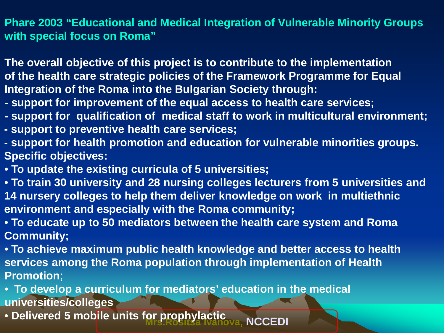**Phare 2003 "Educational and Medical Integration of Vulnerable Minority Groups with special focus on Roma"**

**The overall objective of this project is to contribute to the implementation of the health care strategic policies of the Framework Programme for Equal Integration of the Roma into the Bulgarian Society through:**

- **- support for improvement of the equal access to health care services;**
- **- support for qualification of medical staff to work in multicultural environment;**
- **- support to preventive health care services;**
- **- support for health promotion and education for vulnerable minorities groups. Specific objectives:**
- **To update the existing curricula of 5 universities;**
- **To train 30 university and 28 nursing colleges lecturers from 5 universities and 14 nursery colleges to help them deliver knowledge on work in multiethnic environment and especially with the Roma community;**
- **To educate up to 50 mediators between the health care system and Roma Community;**
- **To achieve maximum public health knowledge and better access to health services among the Roma population through implementation of Health Promotion**;

**NCCEDI** 

• **To develop a curriculum for mediators' education in the medical universities/colleges**

• **Delivered 5 mobile units for prophylactic**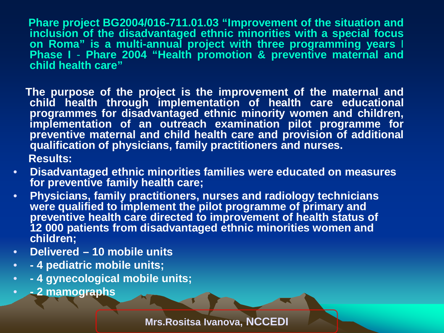**Phare project BG2004/016-711.01.03 "Improvement of the situation and inclusion of the disadvantaged ethnic minorities with a special focus on Roma" is a multi-annual project with three programming years** I **Phase I** - **Phare 2004 "Health promotion & preventive maternal and child health care"**

 **The purpose of the project is the improvement of the maternal and child health through implementation of health care educational programmes for disadvantaged ethnic minority women and children, implementation of an outreach examination pilot programme for preventive maternal and child health care and provision of additional qualification of physicians, family practitioners and nurses. Results:**

- **Disadvantaged ethnic minorities families were educated on measures for preventive family health care;**
- **Physicians, family practitioners, nurses and radiology technicians were qualified to implement the pilot programme of primary and preventive health care directed to improvement of health status of 12 000 patients from disadvantaged ethnic minorities women and children;**
- **Delivered – 10 mobile units**
- **- 4 pediatric mobile units;**
- **- 4 gynecological mobile units;**
- **- 2 mamographs**

**Mrs.Rositsa Ivanova, NCCEDI**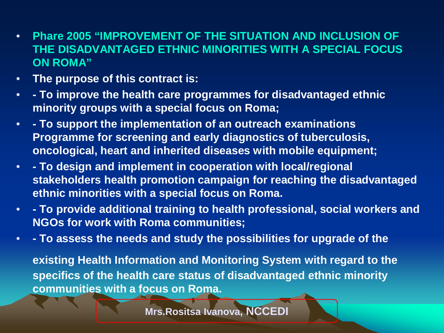- **Phare 2005 "IMPROVEMENT OF THE SITUATION AND INCLUSION OF THE DISADVANTAGED ETHNIC MINORITIES WITH A SPECIAL FOCUS ON ROMA"**
- **The purpose of this contract is:**
- **- To improve the health care programmes for disadvantaged ethnic minority groups with a special focus on Roma;**
- **- To support the implementation of an outreach examinations Programme for screening and early diagnostics of tuberculosis, oncological, heart and inherited diseases with mobile equipment;**
- **- To design and implement in cooperation with local/regional stakeholders health promotion campaign for reaching the disadvantaged ethnic minorities with a special focus on Roma.**
- **- To provide additional training to health professional, social workers and NGOs for work with Roma communities;**
- **- To assess the needs and study the possibilities for upgrade of the**

**existing Health Information and Monitoring System with regard to the specifics of the health care status of disadvantaged ethnic minority communities with a focus on Roma.**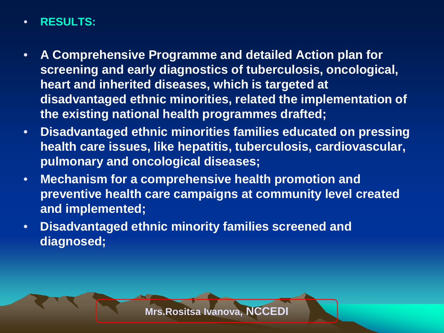#### • **RESULTS:**

- **A Comprehensive Programme and detailed Action plan for screening and early diagnostics of tuberculosis, oncological, heart and inherited diseases, which is targeted at disadvantaged ethnic minorities, related the implementation of the existing national health programmes drafted;**
- **Disadvantaged ethnic minorities families educated on pressing health care issues, like hepatitis, tuberculosis, cardiovascular, pulmonary and oncological diseases;**
- **Mechanism for a comprehensive health promotion and preventive health care campaigns at community level created and implemented;**
- **Disadvantaged ethnic minority families screened and diagnosed;**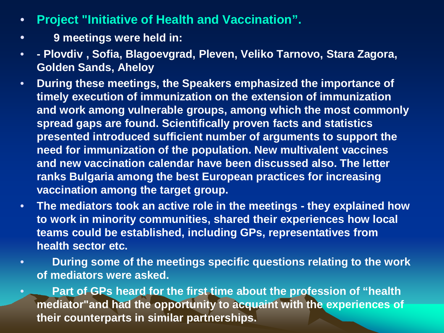- **Project "Initiative of Health and Vaccination".**
- • **9 meetings were held in:**
- **- Plovdiv , Sofia, Blagoevgrad, Pleven, Veliko Tarnovo, Stara Zagora, Golden Sands, Aheloy**
- **During these meetings, the Speakers emphasized the importance of timely execution of immunization on the extension of immunization and work among vulnerable groups, among which the most commonly spread gaps are found. Scientifically proven facts and statistics presented introduced sufficient number of arguments to support the need for immunization of the population. New multivalent vaccines and new vaccination calendar have been discussed also. The letter ranks Bulgaria among the best European practices for increasing vaccination among the target group.**
- **The mediators took an active role in the meetings - they explained how to work in minority communities, shared their experiences how local teams could be established, including GPs, representatives from health sector etc.**
- • **During some of the meetings specific questions relating to the work of mediators were asked.**
- • **Part of GPs heard for the first time about the profession of "health mediator"and had the opportunity to acquaint with the experiences of their counterparts in similar partnerships.**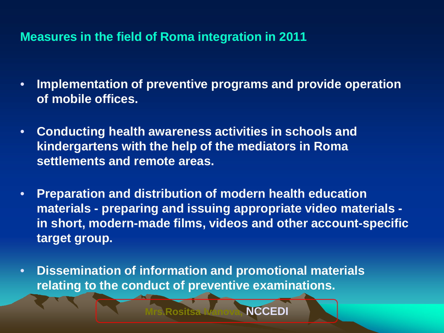#### **Measures in the field of Roma integration in 2011**

- **Implementation of preventive programs and provide operation of mobile offices.**
- **Conducting health awareness activities in schools and kindergartens with the help of the mediators in Roma settlements and remote areas.**
- **Preparation and distribution of modern health education materials - preparing and issuing appropriate video materials in short, modern-made films, videos and other account-specific target group.**

**Mrs.Rositsa Ivanova, NCCEDI**

• **Dissemination of information and promotional materials relating to the conduct of preventive examinations.**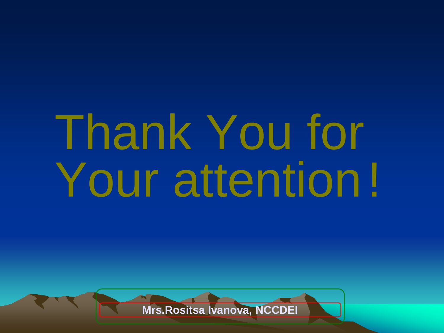# Thank You for Your attention!

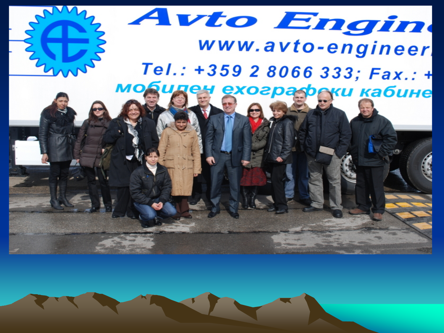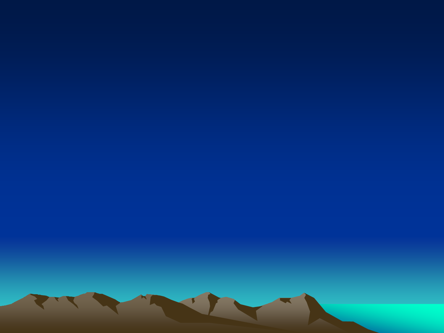